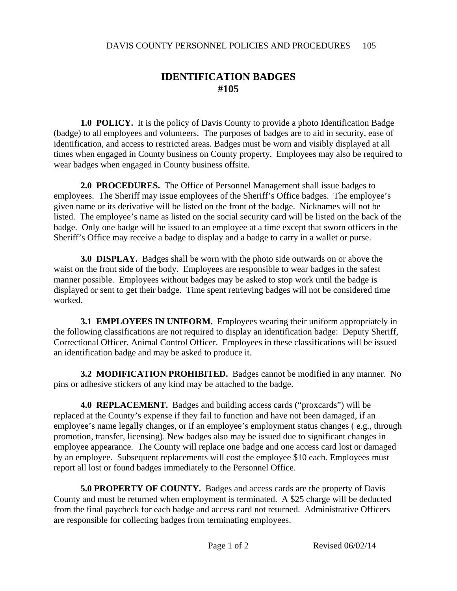## **IDENTIFICATION BADGES #105**

**1.0 POLICY.** It is the policy of Davis County to provide a photo Identification Badge (badge) to all employees and volunteers. The purposes of badges are to aid in security, ease of identification, and access to restricted areas. Badges must be worn and visibly displayed at all times when engaged in County business on County property. Employees may also be required to wear badges when engaged in County business offsite.

**2.0 PROCEDURES.** The Office of Personnel Management shall issue badges to employees. The Sheriff may issue employees of the Sheriff's Office badges. The employee's given name or its derivative will be listed on the front of the badge. Nicknames will not be listed. The employee's name as listed on the social security card will be listed on the back of the badge. Only one badge will be issued to an employee at a time except that sworn officers in the Sheriff's Office may receive a badge to display and a badge to carry in a wallet or purse.

**3.0 DISPLAY.** Badges shall be worn with the photo side outwards on or above the waist on the front side of the body. Employees are responsible to wear badges in the safest manner possible. Employees without badges may be asked to stop work until the badge is displayed or sent to get their badge. Time spent retrieving badges will not be considered time worked.

**3.1 EMPLOYEES IN UNIFORM.** Employees wearing their uniform appropriately in the following classifications are not required to display an identification badge: Deputy Sheriff, Correctional Officer, Animal Control Officer. Employees in these classifications will be issued an identification badge and may be asked to produce it.

**3.2 MODIFICATION PROHIBITED.** Badges cannot be modified in any manner. No pins or adhesive stickers of any kind may be attached to the badge.

**4.0 REPLACEMENT.** Badges and building access cards ("proxcards") will be replaced at the County's expense if they fail to function and have not been damaged, if an employee's name legally changes, or if an employee's employment status changes (e.g., through promotion, transfer, licensing). New badges also may be issued due to significant changes in employee appearance. The County will replace one badge and one access card lost or damaged by an employee. Subsequent replacements will cost the employee \$10 each. Employees must report all lost or found badges immediately to the Personnel Office.

**5.0 PROPERTY OF COUNTY.** Badges and access cards are the property of Davis County and must be returned when employment is terminated. A \$25 charge will be deducted from the final paycheck for each badge and access card not returned. Administrative Officers are responsible for collecting badges from terminating employees.